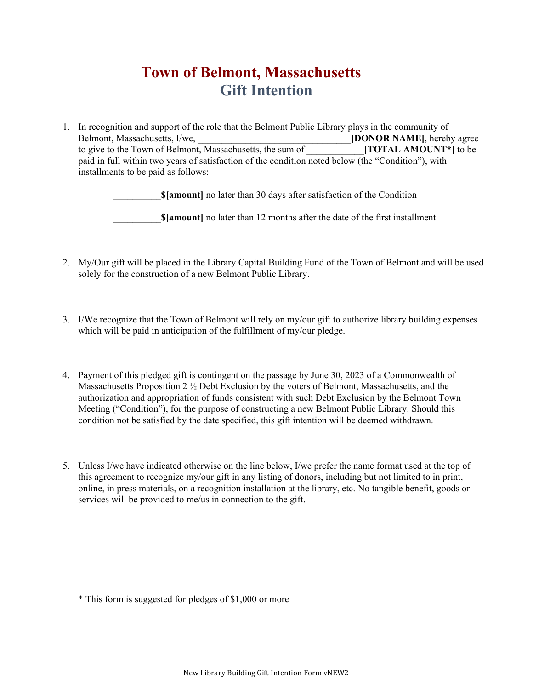## **Town of Belmont, Massachusetts Gift Intention**

1. In recognition and support of the role that the Belmont Public Library plays in the community of Belmont, Massachusetts, I/we, **Example 2018 Example 2018 IDONOR NAME**], hereby agree to give to the Town of Belmont, Massachusetts, the sum of **[TOTAL AMOUNT<sup>\*</sup>**] to be paid in full within two years of satisfaction of the condition noted below (the "Condition"), with installments to be paid as follows:

**\$[amount]** no later than 30 days after satisfaction of the Condition

**\$[amount]** no later than 12 months after the date of the first installment

- 2. My/Our gift will be placed in the Library Capital Building Fund of the Town of Belmont and will be used solely for the construction of a new Belmont Public Library.
- 3. I/We recognize that the Town of Belmont will rely on my/our gift to authorize library building expenses which will be paid in anticipation of the fulfillment of my/our pledge.
- 4. Payment of this pledged gift is contingent on the passage by June 30, 2023 of a Commonwealth of Massachusetts Proposition 2  $\frac{1}{2}$  Debt Exclusion by the voters of Belmont, Massachusetts, and the authorization and appropriation of funds consistent with such Debt Exclusion by the Belmont Town Meeting ("Condition"), for the purpose of constructing a new Belmont Public Library. Should this condition not be satisfied by the date specified, this gift intention will be deemed withdrawn.
- 5. Unless I/we have indicated otherwise on the line below, I/we prefer the name format used at the top of this agreement to recognize my/our gift in any listing of donors, including but not limited to in print, online, in press materials, on a recognition installation at the library, etc. No tangible benefit, goods or services will be provided to me/us in connection to the gift.

\* This form is suggested for pledges of \$1,000 or more